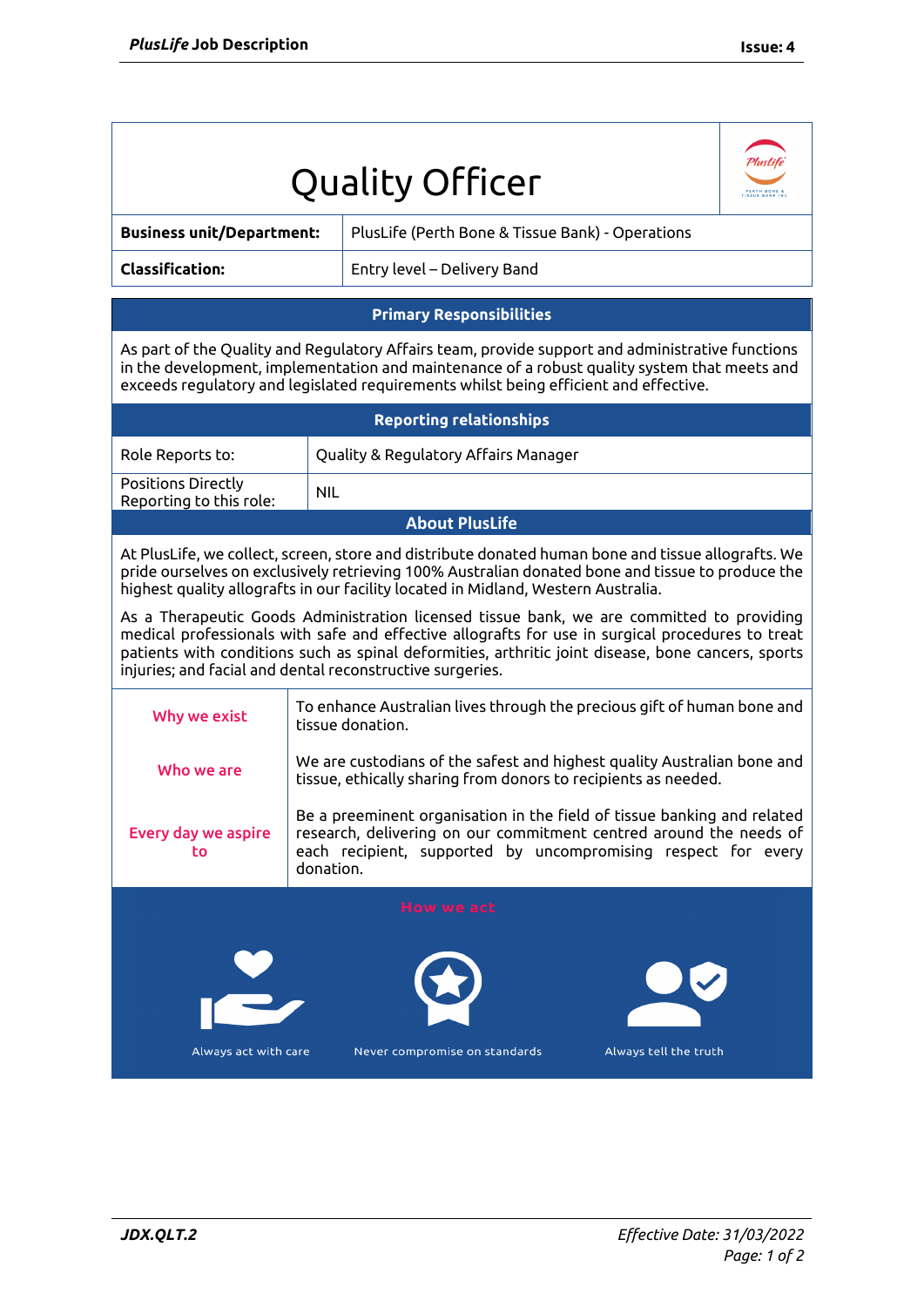| <b>Quality Officer</b>                                                                                                                                                                                                                                                                                                                                           |                                                                                                                                           |                                                                                                                                                                                                                |  |  |
|------------------------------------------------------------------------------------------------------------------------------------------------------------------------------------------------------------------------------------------------------------------------------------------------------------------------------------------------------------------|-------------------------------------------------------------------------------------------------------------------------------------------|----------------------------------------------------------------------------------------------------------------------------------------------------------------------------------------------------------------|--|--|
| <b>Business unit/Department:</b>                                                                                                                                                                                                                                                                                                                                 |                                                                                                                                           | PlusLife (Perth Bone & Tissue Bank) - Operations                                                                                                                                                               |  |  |
| <b>Classification:</b>                                                                                                                                                                                                                                                                                                                                           |                                                                                                                                           | Entry level - Delivery Band                                                                                                                                                                                    |  |  |
| <b>Primary Responsibilities</b>                                                                                                                                                                                                                                                                                                                                  |                                                                                                                                           |                                                                                                                                                                                                                |  |  |
| As part of the Quality and Regulatory Affairs team, provide support and administrative functions<br>in the development, implementation and maintenance of a robust quality system that meets and<br>exceeds regulatory and legislated requirements whilst being efficient and effective.                                                                         |                                                                                                                                           |                                                                                                                                                                                                                |  |  |
| <b>Reporting relationships</b>                                                                                                                                                                                                                                                                                                                                   |                                                                                                                                           |                                                                                                                                                                                                                |  |  |
| Role Reports to:                                                                                                                                                                                                                                                                                                                                                 |                                                                                                                                           | Quality & Regulatory Affairs Manager                                                                                                                                                                           |  |  |
| <b>Positions Directly</b><br>Reporting to this role:                                                                                                                                                                                                                                                                                                             | <b>NIL</b>                                                                                                                                |                                                                                                                                                                                                                |  |  |
| <b>About PlusLife</b>                                                                                                                                                                                                                                                                                                                                            |                                                                                                                                           |                                                                                                                                                                                                                |  |  |
| At PlusLife, we collect, screen, store and distribute donated human bone and tissue allografts. We<br>pride ourselves on exclusively retrieving 100% Australian donated bone and tissue to produce the<br>highest quality allografts in our facility located in Midland, Western Australia.                                                                      |                                                                                                                                           |                                                                                                                                                                                                                |  |  |
| As a Therapeutic Goods Administration licensed tissue bank, we are committed to providing<br>medical professionals with safe and effective allografts for use in surgical procedures to treat<br>patients with conditions such as spinal deformities, arthritic joint disease, bone cancers, sports<br>injuries; and facial and dental reconstructive surgeries. |                                                                                                                                           |                                                                                                                                                                                                                |  |  |
| Why we exist                                                                                                                                                                                                                                                                                                                                                     |                                                                                                                                           | To enhance Australian lives through the precious gift of human bone and<br>tissue donation.                                                                                                                    |  |  |
| Who we are                                                                                                                                                                                                                                                                                                                                                       | We are custodians of the safest and highest quality Australian bone and<br>tissue, ethically sharing from donors to recipients as needed. |                                                                                                                                                                                                                |  |  |
| <b>Every day we aspire</b><br>to                                                                                                                                                                                                                                                                                                                                 | donation.                                                                                                                                 | Be a preeminent organisation in the field of tissue banking and related<br>research, delivering on our commitment centred around the needs of<br>each recipient, supported by uncompromising respect for every |  |  |
| <b>How we act</b><br>Always act with care<br>Never compromise on standards<br>Always tell the truth                                                                                                                                                                                                                                                              |                                                                                                                                           |                                                                                                                                                                                                                |  |  |